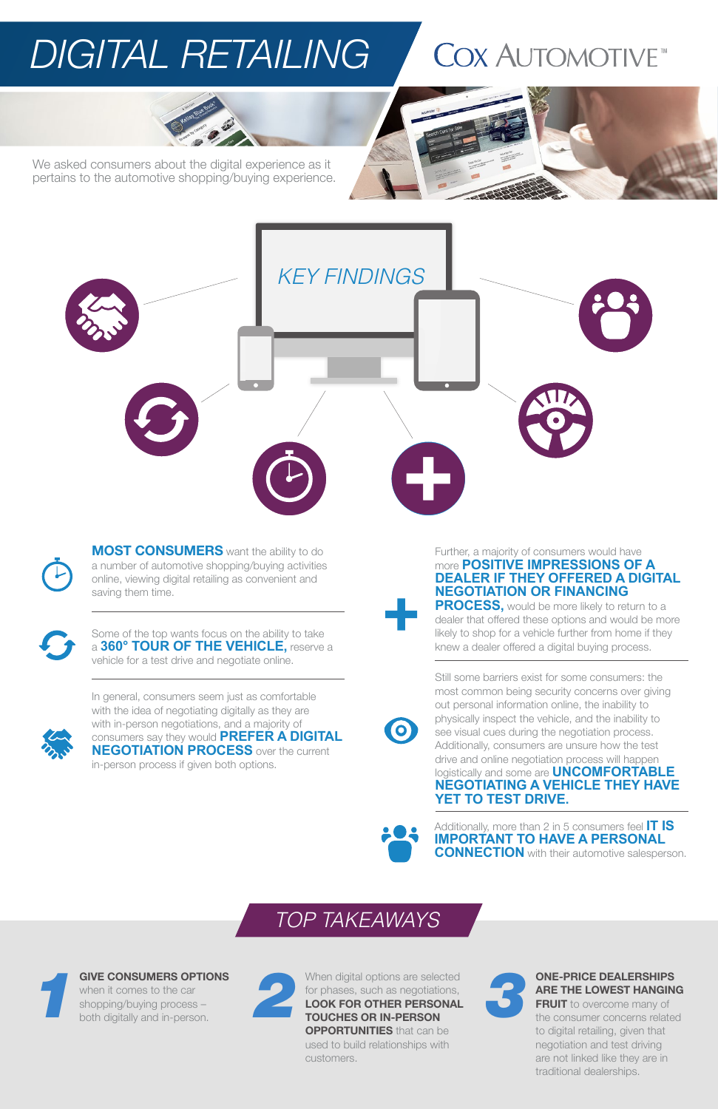# *DIGITAL RETAILING*

# **COX AUTOMOTIVE**



We asked consumers about the digital experience as it pertains to the automotive shopping/buying experience.



**MOST CONSUMERS** want the ability to do a number of automotive shopping/buying activities online, viewing digital retailing as convenient and saving them time.



Some of the top wants focus on the ability to take a **360° TOUR OF THE VEHICLE,** reserve a vehicle for a test drive and negotiate online.

In general, consumers seem just as comfortable with the idea of negotiating digitally as they are with in-person negotiations, and a majority of consumers say they would **PREFER A DIGITAL NEGOTIATION PROCESS** over the current in-person process if given both options.

> Additionally, more than 2 in 5 consumers feel **IT IS IMPORTANT TO HAVE A PERSONAL CONNECTION** with their automotive salesperson.

Further, a majority of consumers would have more **POSITIVE IMPRESSIONS OF A DEALER IF THEY OFFERED A DIGITAL NEGOTIATION OR FINANCING PROCESS,** would be more likely to return to a

dealer that offered these options and would be more likely to shop for a vehicle further from home if they knew a dealer offered a digital buying process.

> **FRUIT** to overcome many of the consumer concerns related to digital retailing, given that negotiation and test driving are not linked like they are in traditional dealerships.





## *TOP TAKEAWAYS*

#### GIVE CONSUMERS OPTIONS

when it comes to the car shopping/buying process – both digitally and in-person.



When digital options are selected for phases, such as negotiations, LOOK FOR OTHER PERSONAL TOUCHES OR IN-PERSON **OPPORTUNITIES** that can be used to build relationships with customers. *1 2 3*



#### ONE-PRICE DEALERSHIPS ARE THE LOWEST HANGING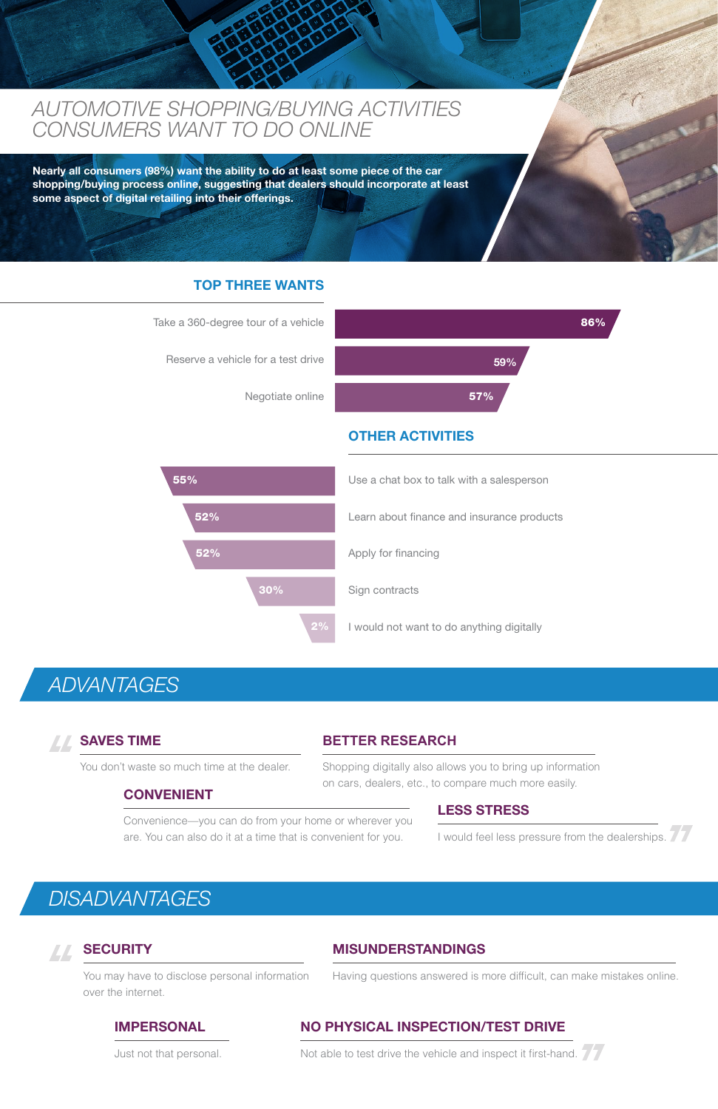### *AUTOMOTIVE SHOPPING/BUYING ACTIVITIES CONSUMERS WANT TO DO ONLINE*

Nearly all consumers (98%) want the ability to do at least some piece of the car shopping/buying process online, suggesting that dealers should incorporate at least some aspect of digital retailing into their offerings.

#### TOP THREE WANTS

#### OTHER ACTIVITIES

You don't waste so much time at the dealer. Shopping digitally also allows you to bring up information on cars, dealers, etc., to compare much more easily.

Convenience—you can do from your home or wherever you are. You can also do it at a time that is convenient for you. I would feel less pressure from the dealerships.





#### SAVES TIME **BETTER RESEARCH**

#### CONVENIENT

#### LESS STRESS

#### MISUNDERSTANDINGS

You may have to disclose personal information over the internet.

Having questions answered is more difficult, can make mistakes online.

#### IMPERSONAL NO PHYSICAL INSPECTION/TEST DRIVE

Just not that personal. Not able to test drive the vehicle and inspect it first-hand.

### *ADVANTAGES*

### ZZ,

### *DISADVANTAGES*

#### **SECURITY AA**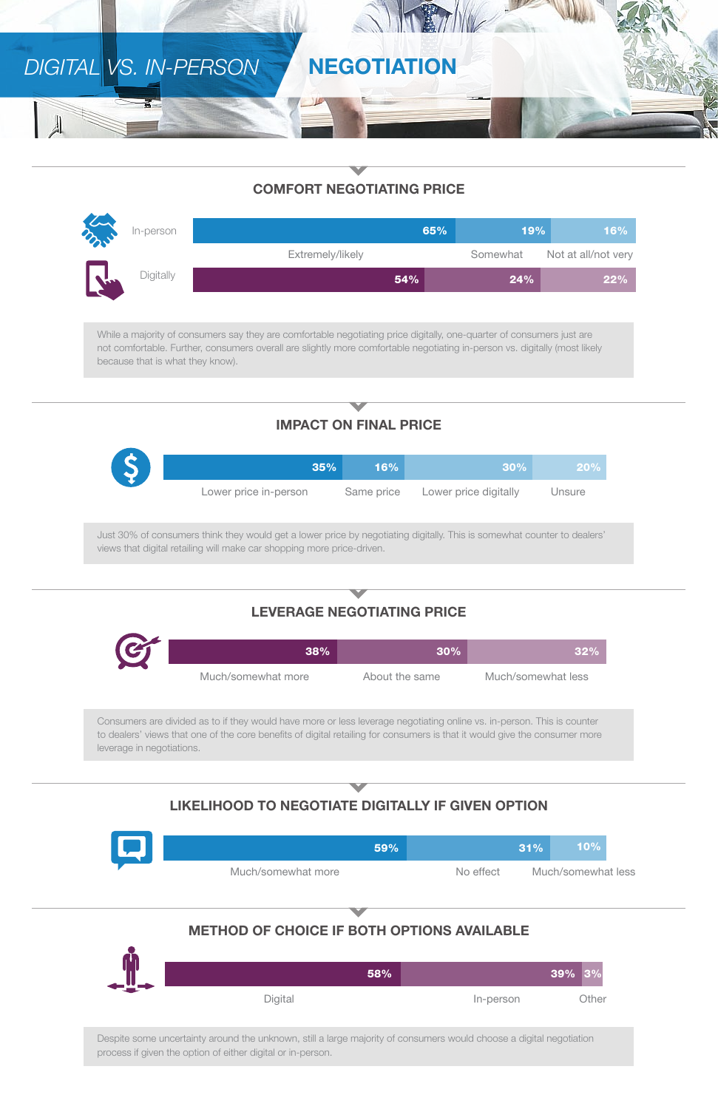## DIGITAL VS. IN-PERSON NEGOTIATION

### COMFORT NEGOTIATING PRICE

| m<br>In-person            | 65%              | 19%      | 16%                 |
|---------------------------|------------------|----------|---------------------|
|                           | Extremely/likely | Somewhat | Not at all/not very |
| Digitally<br>$\mathbf{u}$ | 54%              | 24%      | $22\%$              |

While a majority of consumers say they are comfortable negotiating price digitally, one-quarter of consumers just are not comfortable. Further, consumers overall are slightly more comfortable negotiating in-person vs. digitally (most likely because that is what they know).

### IMPACT ON FINAL PRICE

|                                                                                                                                                                                                   | 35%                   | 16%        | 30%                   | 20%    |
|---------------------------------------------------------------------------------------------------------------------------------------------------------------------------------------------------|-----------------------|------------|-----------------------|--------|
|                                                                                                                                                                                                   | Lower price in-person | Same price | Lower price digitally | Unsure |
| Just 30% of consumers think they would get a lower price by negotiating digitally. This is somewhat counter to dealers'<br>views that digital retailing will make car shopping more price-driven. |                       |            |                       |        |
|                                                                                                                                                                                                   |                       |            |                       |        |
| <b>LEVERAGE NEGOTIATING PRICE</b>                                                                                                                                                                 |                       |            |                       |        |

| C | 38%                | $30\%$         | $32\%$             |
|---|--------------------|----------------|--------------------|
|   | Much/somewhat more | About the same | Much/somewhat less |

Consumers are divided as to if they would have more or less leverage negotiating online vs. in-person. This is counter to dealers' views that one of the core benefits of digital retailing for consumers is that it would give the consumer more leverage in negotiations.

#### LIKELIHOOD TO NEGOTIATE DIGITALLY IF GIVEN OPTION



### METHOD OF CHOICE IF BOTH OPTIONS AVAILABLE



Despite some uncertainty around the unknown, still a large majority of consumers would choose a digital negotiation process if given the option of either digital or in-person.